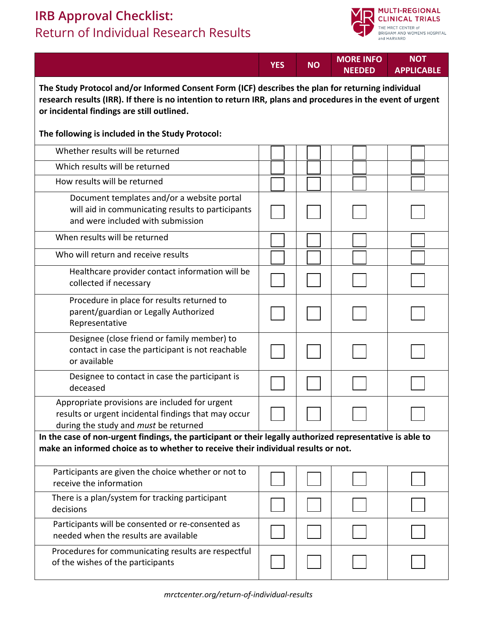## **IRB Approval Checklist:** Return of Individual Research Results



|                                                                                                                                                                                                                                                                | <b>YES</b> | <b>NO</b> | <b>MORE INFO</b><br><b>NEEDED</b> | <b>NOT</b><br><b>APPLICABLE</b> |  |  |  |
|----------------------------------------------------------------------------------------------------------------------------------------------------------------------------------------------------------------------------------------------------------------|------------|-----------|-----------------------------------|---------------------------------|--|--|--|
| The Study Protocol and/or Informed Consent Form (ICF) describes the plan for returning individual<br>research results (IRR). If there is no intention to return IRR, plans and procedures in the event of urgent<br>or incidental findings are still outlined. |            |           |                                   |                                 |  |  |  |
| The following is included in the Study Protocol:                                                                                                                                                                                                               |            |           |                                   |                                 |  |  |  |
| Whether results will be returned                                                                                                                                                                                                                               |            |           |                                   |                                 |  |  |  |
| Which results will be returned                                                                                                                                                                                                                                 |            |           |                                   |                                 |  |  |  |
| How results will be returned                                                                                                                                                                                                                                   |            |           |                                   |                                 |  |  |  |
| Document templates and/or a website portal<br>will aid in communicating results to participants<br>and were included with submission                                                                                                                           |            |           |                                   |                                 |  |  |  |
| When results will be returned                                                                                                                                                                                                                                  |            |           |                                   |                                 |  |  |  |
| Who will return and receive results                                                                                                                                                                                                                            |            |           |                                   |                                 |  |  |  |
| Healthcare provider contact information will be<br>collected if necessary                                                                                                                                                                                      |            |           |                                   |                                 |  |  |  |
| Procedure in place for results returned to<br>parent/guardian or Legally Authorized<br>Representative                                                                                                                                                          |            |           |                                   |                                 |  |  |  |
| Designee (close friend or family member) to<br>contact in case the participant is not reachable<br>or available                                                                                                                                                |            |           |                                   |                                 |  |  |  |
| Designee to contact in case the participant is<br>deceased                                                                                                                                                                                                     |            |           |                                   |                                 |  |  |  |
| Appropriate provisions are included for urgent<br>results or urgent incidental findings that may occur<br>during the study and must be returned                                                                                                                |            |           |                                   |                                 |  |  |  |
| In the case of non-urgent findings, the participant or their legally authorized representative is able to<br>make an informed choice as to whether to receive their individual results or not.                                                                 |            |           |                                   |                                 |  |  |  |
| Participants are given the choice whether or not to<br>receive the information                                                                                                                                                                                 |            |           |                                   |                                 |  |  |  |
| There is a plan/system for tracking participant<br>decisions                                                                                                                                                                                                   |            |           |                                   |                                 |  |  |  |
| Participants will be consented or re-consented as<br>needed when the results are available                                                                                                                                                                     |            |           |                                   |                                 |  |  |  |
| Procedures for communicating results are respectful<br>of the wishes of the participants                                                                                                                                                                       |            |           |                                   |                                 |  |  |  |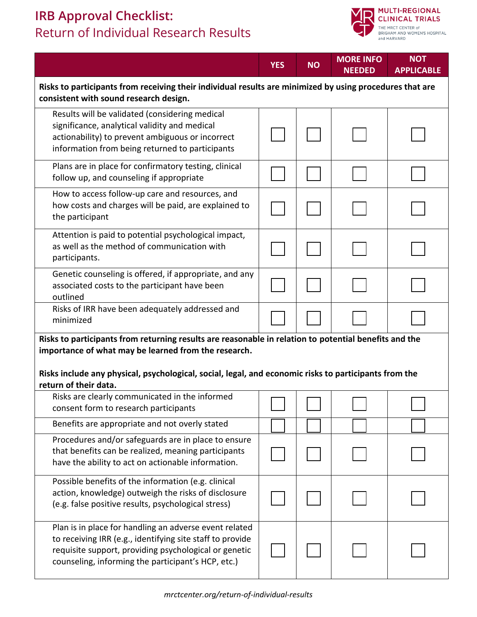## **IRB Approval Checklist:** Return of Individual Research Results



|                                                                                                                                                                                                                                    | <b>YES</b> | <b>NO</b> | <b>MORE INFO</b><br><b>NEEDED</b> | <b>NOT</b><br><b>APPLICABLE</b> |  |  |  |
|------------------------------------------------------------------------------------------------------------------------------------------------------------------------------------------------------------------------------------|------------|-----------|-----------------------------------|---------------------------------|--|--|--|
| Risks to participants from receiving their individual results are minimized by using procedures that are<br>consistent with sound research design.                                                                                 |            |           |                                   |                                 |  |  |  |
| Results will be validated (considering medical<br>significance, analytical validity and medical<br>actionability) to prevent ambiguous or incorrect<br>information from being returned to participants                             |            |           |                                   |                                 |  |  |  |
| Plans are in place for confirmatory testing, clinical<br>follow up, and counseling if appropriate                                                                                                                                  |            |           |                                   |                                 |  |  |  |
| How to access follow-up care and resources, and<br>how costs and charges will be paid, are explained to<br>the participant                                                                                                         |            |           |                                   |                                 |  |  |  |
| Attention is paid to potential psychological impact,<br>as well as the method of communication with<br>participants.                                                                                                               |            |           |                                   |                                 |  |  |  |
| Genetic counseling is offered, if appropriate, and any<br>associated costs to the participant have been<br>outlined                                                                                                                |            |           |                                   |                                 |  |  |  |
| Risks of IRR have been adequately addressed and<br>minimized                                                                                                                                                                       |            |           |                                   |                                 |  |  |  |
| Risks to participants from returning results are reasonable in relation to potential benefits and the<br>importance of what may be learned from the research.                                                                      |            |           |                                   |                                 |  |  |  |
| Risks include any physical, psychological, social, legal, and economic risks to participants from the<br>return of their data.                                                                                                     |            |           |                                   |                                 |  |  |  |
| Risks are clearly communicated in the informed<br>consent form to research participants                                                                                                                                            |            |           |                                   |                                 |  |  |  |
| Benefits are appropriate and not overly stated                                                                                                                                                                                     |            |           |                                   |                                 |  |  |  |
| Procedures and/or safeguards are in place to ensure<br>that benefits can be realized, meaning participants<br>have the ability to act on actionable information.                                                                   |            |           |                                   |                                 |  |  |  |
| Possible benefits of the information (e.g. clinical<br>action, knowledge) outweigh the risks of disclosure<br>(e.g. false positive results, psychological stress)                                                                  |            |           |                                   |                                 |  |  |  |
| Plan is in place for handling an adverse event related<br>to receiving IRR (e.g., identifying site staff to provide<br>requisite support, providing psychological or genetic<br>counseling, informing the participant's HCP, etc.) |            |           |                                   |                                 |  |  |  |